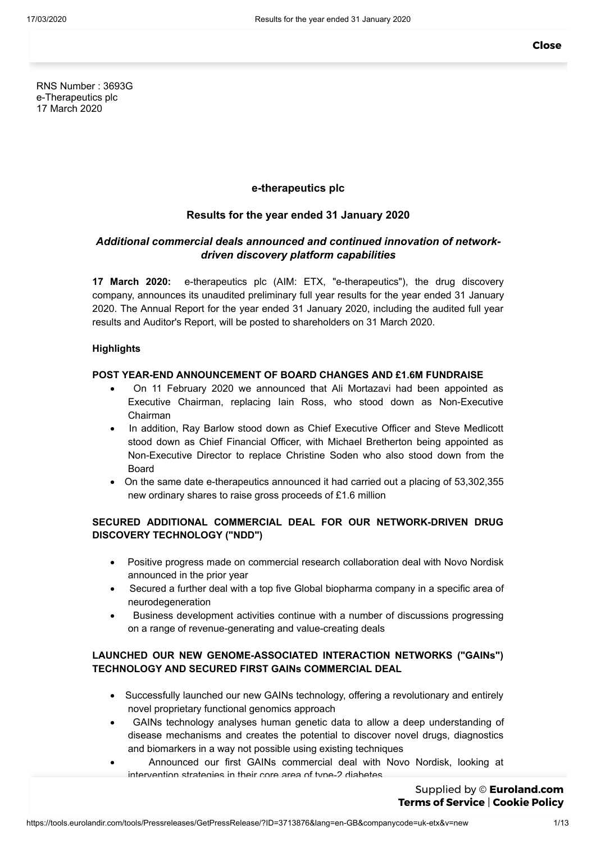RNS Number : 3693G e-Therapeutics plc 17 March 2020

# **e-therapeutics plc**

# **Results for the year ended 31 January 2020**

# *Additional commercial deals announced and continued innovation of networkdriven discovery platform capabilities*

**17 March 2020:** e-therapeutics plc (AIM: ETX, "e-therapeutics"), the drug discovery company, announces its unaudited preliminary full year results for the year ended 31 January 2020. The Annual Report for the year ended 31 January 2020, including the audited full year results and Auditor's Report, will be posted to shareholders on 31 March 2020.

## **Highlights**

## **POST YEAR-END ANNOUNCEMENT OF BOARD CHANGES AND £1.6M FUNDRAISE**

- · On 11 February 2020 we announced that Ali Mortazavi had been appointed as Executive Chairman, replacing Iain Ross, who stood down as Non-Executive Chairman
- · In addition, Ray Barlow stood down as Chief Executive Officer and Steve Medlicott stood down as Chief Financial Officer, with Michael Bretherton being appointed as Non-Executive Director to replace Christine Soden who also stood down from the **Board**
- · On the same date e-therapeutics announced it had carried out a placing of 53,302,355 new ordinary shares to raise gross proceeds of £1.6 million

# **SECURED ADDITIONAL COMMERCIAL DEAL FOR OUR NETWORK-DRIVEN DRUG DISCOVERY TECHNOLOGY ("NDD")**

- Positive progress made on commercial research collaboration deal with Novo Nordisk announced in the prior year
- · Secured a further deal with a top five Global biopharma company in a specific area of neurodegeneration
- · Business development activities continue with a number of discussions progressing on a range of revenue-generating and value-creating deals

# **LAUNCHED OUR NEW GENOME-ASSOCIATED INTERACTION NETWORKS ("GAINs") TECHNOLOGY AND SECURED FIRST GAINs COMMERCIAL DEAL**

- · Successfully launched our new GAINs technology, offering a revolutionary and entirely novel proprietary functional genomics approach
- GAINs technology analyses human genetic data to allow a deep understanding of disease mechanisms and creates the potential to discover novel drugs, diagnostics and biomarkers in a way not possible using existing techniques
- · Announced our first GAINs commercial deal with Novo Nordisk, looking at intervention strategies in their core area of type-2 diabetes

Supplied by © **[Euroland.com](http://www.euroland.com/) Terms of [Service](https://tools.eurolandir.com/legal/terms/?lang=en-GB)** | **[Cookie](https://tools.eurolandir.com/legal/cookie/?lang=en-GB) Policy**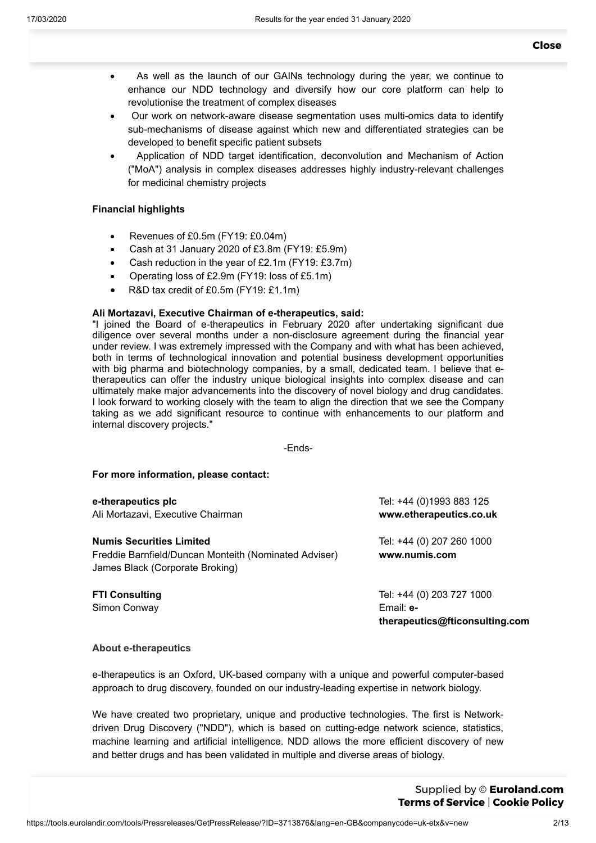- · As well as the launch of our GAINs technology during the year, we continue to enhance our NDD technology and diversify how our core platform can help to revolutionise the treatment of complex diseases
- · Our work on network-aware disease segmentation uses multi-omics data to identify sub-mechanisms of disease against which new and differentiated strategies can be developed to benefit specific patient subsets
- · Application of NDD target identification, deconvolution and Mechanism of Action ("MoA") analysis in complex diseases addresses highly industry-relevant challenges for medicinal chemistry projects

# **Financial highlights**

- Revenues of £0.5m (FY19: £0.04m)
- · Cash at 31 January 2020 of £3.8m (FY19: £5.9m)
- Cash reduction in the year of  $£2.1m$  (FY19:  $£3.7m$ )
- · Operating loss of £2.9m (FY19: loss of £5.1m)
- R&D tax credit of £0.5m (FY19: £1.1m)

## **Ali Mortazavi, Executive Chairman of e-therapeutics, said:**

"I joined the Board of e-therapeutics in February 2020 after undertaking significant due diligence over several months under a non-disclosure agreement during the financial year under review. I was extremely impressed with the Company and with what has been achieved, both in terms of technological innovation and potential business development opportunities with big pharma and biotechnology companies, by a small, dedicated team. I believe that etherapeutics can offer the industry unique biological insights into complex disease and can ultimately make major advancements into the discovery of novel biology and drug candidates. I look forward to working closely with the team to align the direction that we see the Company taking as we add significant resource to continue with enhancements to our platform and internal discovery projects."

-Ends-

## **For more information, please contact:**

| e-therapeutics plc<br>Ali Mortazavi, Executive Chairman                                                                     | Tel: +44 (0)1993 883 125<br>www.etherapeutics.co.uk                      |
|-----------------------------------------------------------------------------------------------------------------------------|--------------------------------------------------------------------------|
| <b>Numis Securities Limited</b><br>Freddie Barnfield/Duncan Monteith (Nominated Adviser)<br>James Black (Corporate Broking) | Tel: +44 (0) 207 260 1000<br>www.numis.com                               |
| <b>FTI Consulting</b><br>Simon Conway                                                                                       | Tel: +44 (0) 203 727 1000<br>Email: e-<br>therapeutics@fticonsulting.com |

## **About e-therapeutics**

e-therapeutics is an Oxford, UK-based company with a unique and powerful computer-based approach to drug discovery, founded on our industry-leading expertise in network biology.

We have created two proprietary, unique and productive technologies. The first is Networkdriven Drug Discovery ("NDD"), which is based on cutting-edge network science, statistics, machine learning and artificial intelligence. NDD allows the more efficient discovery of new and better drugs and has been validated in multiple and diverse areas of biology.

The second is Genome Associated Interaction Networks ( $\mathcal{A}$  $rac{1}{\sqrt{2\pi}}$  based on the same value  $rac{1}{\sqrt{2\pi}}$  $\mathbf{b}_0$  and analyzes that underpins on Service that under Supplied by © **[Euroland.com](http://www.euroland.com/) Terms of [Service](https://tools.eurolandir.com/legal/terms/?lang=en-GB)** | **[Cookie](https://tools.eurolandir.com/legal/cookie/?lang=en-GB) Policy**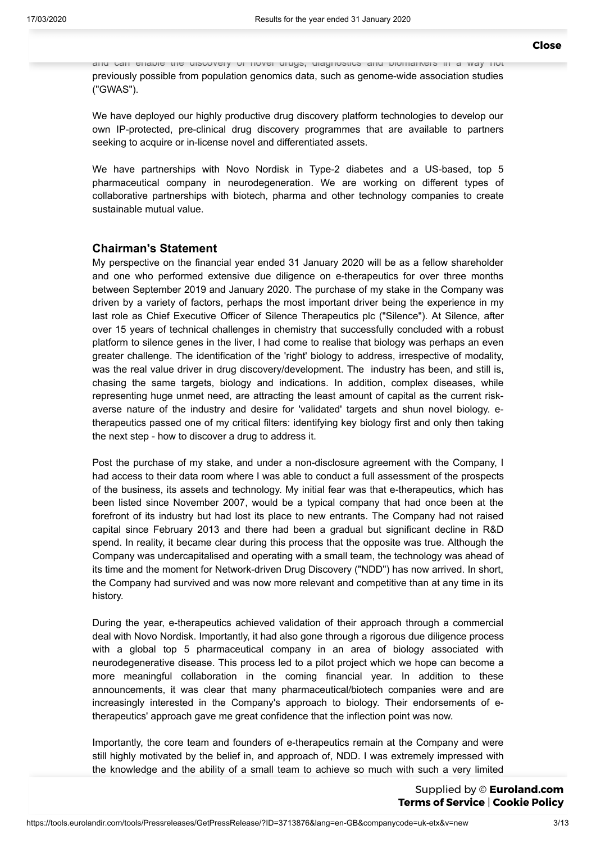and can enable the discovery of novel drugs, diagnostics and biomarkers in a way not previously possible from population genomics data, such as genome-wide association studies ("GWAS").

We have deployed our highly productive drug discovery platform technologies to develop our own IP-protected, pre-clinical drug discovery programmes that are available to partners seeking to acquire or in-license novel and differentiated assets.

We have partnerships with Novo Nordisk in Type-2 diabetes and a US-based, top 5 pharmaceutical company in neurodegeneration. We are working on different types of collaborative partnerships with biotech, pharma and other technology companies to create sustainable mutual value.

# **Chairman's Statement**

My perspective on the financial year ended 31 January 2020 will be as a fellow shareholder and one who performed extensive due diligence on e-therapeutics for over three months between September 2019 and January 2020. The purchase of my stake in the Company was driven by a variety of factors, perhaps the most important driver being the experience in my last role as Chief Executive Officer of Silence Therapeutics plc ("Silence"). At Silence, after over 15 years of technical challenges in chemistry that successfully concluded with a robust platform to silence genes in the liver, I had come to realise that biology was perhaps an even greater challenge. The identification of the 'right' biology to address, irrespective of modality, was the real value driver in drug discovery/development. The industry has been, and still is, chasing the same targets, biology and indications. In addition, complex diseases, while representing huge unmet need, are attracting the least amount of capital as the current riskaverse nature of the industry and desire for 'validated' targets and shun novel biology. etherapeutics passed one of my critical filters: identifying key biology first and only then taking the next step - how to discover a drug to address it.

Post the purchase of my stake, and under a non-disclosure agreement with the Company, I had access to their data room where I was able to conduct a full assessment of the prospects of the business, its assets and technology. My initial fear was that e-therapeutics, which has been listed since November 2007, would be a typical company that had once been at the forefront of its industry but had lost its place to new entrants. The Company had not raised capital since February 2013 and there had been a gradual but significant decline in R&D spend. In reality, it became clear during this process that the opposite was true. Although the Company was undercapitalised and operating with a small team, the technology was ahead of its time and the moment for Network-driven Drug Discovery ("NDD") has now arrived. In short, the Company had survived and was now more relevant and competitive than at any time in its history.

During the year, e-therapeutics achieved validation of their approach through a commercial deal with Novo Nordisk. Importantly, it had also gone through a rigorous due diligence process with a global top 5 pharmaceutical company in an area of biology associated with neurodegenerative disease. This process led to a pilot project which we hope can become a more meaningful collaboration in the coming financial year. In addition to these announcements, it was clear that many pharmaceutical/biotech companies were and are increasingly interested in the Company's approach to biology. Their endorsements of etherapeutics' approach gave me great confidence that the inflection point was now.

Importantly, the core team and founders of e-therapeutics remain at the Company and were still highly motivated by the belief in, and approach of, NDD. I was extremely impressed with the knowledge and the ability of a small team to achieve so much with such a very limited

 $\mathcal{L}$  budget. In conclusion, my decision, my decision to  $\mathcal{L}$  Executive Chairman was  $\mathcal{L}$  $t_{\rm s}$  on the basis of deep distribution between  $\epsilon$ Supplied by © **[Euroland.com](http://www.euroland.com/) Terms of [Service](https://tools.eurolandir.com/legal/terms/?lang=en-GB)** | **[Cookie](https://tools.eurolandir.com/legal/cookie/?lang=en-GB) Policy**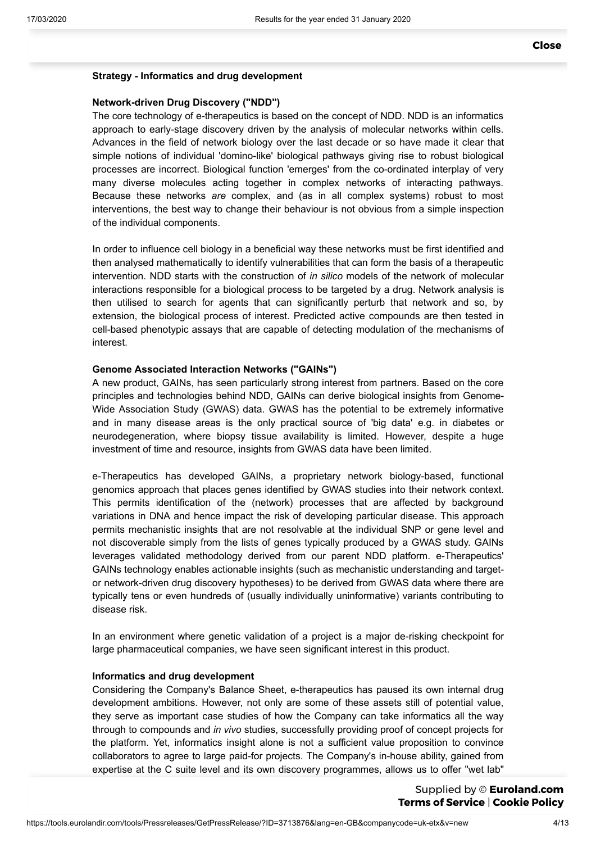## **Strategy - Informatics and drug development**

## **Network-driven Drug Discovery ("NDD")**

The core technology of e-therapeutics is based on the concept of NDD. NDD is an informatics approach to early-stage discovery driven by the analysis of molecular networks within cells. Advances in the field of network biology over the last decade or so have made it clear that simple notions of individual 'domino-like' biological pathways giving rise to robust biological processes are incorrect. Biological function 'emerges' from the co-ordinated interplay of very many diverse molecules acting together in complex networks of interacting pathways. Because these networks *are* complex, and (as in all complex systems) robust to most interventions, the best way to change their behaviour is not obvious from a simple inspection of the individual components.

In order to influence cell biology in a beneficial way these networks must be first identified and then analysed mathematically to identify vulnerabilities that can form the basis of a therapeutic intervention. NDD starts with the construction of *in silico* models of the network of molecular interactions responsible for a biological process to be targeted by a drug. Network analysis is then utilised to search for agents that can significantly perturb that network and so, by extension, the biological process of interest. Predicted active compounds are then tested in cell-based phenotypic assays that are capable of detecting modulation of the mechanisms of interest.

## **Genome Associated Interaction Networks ("GAINs")**

A new product, GAINs, has seen particularly strong interest from partners. Based on the core principles and technologies behind NDD, GAINs can derive biological insights from Genome-Wide Association Study (GWAS) data. GWAS has the potential to be extremely informative and in many disease areas is the only practical source of 'big data' e.g. in diabetes or neurodegeneration, where biopsy tissue availability is limited. However, despite a huge investment of time and resource, insights from GWAS data have been limited.

e-Therapeutics has developed GAINs, a proprietary network biology-based, functional genomics approach that places genes identified by GWAS studies into their network context. This permits identification of the (network) processes that are affected by background variations in DNA and hence impact the risk of developing particular disease. This approach permits mechanistic insights that are not resolvable at the individual SNP or gene level and not discoverable simply from the lists of genes typically produced by a GWAS study. GAINs leverages validated methodology derived from our parent NDD platform. e-Therapeutics' GAINs technology enables actionable insights (such as mechanistic understanding and targetor network-driven drug discovery hypotheses) to be derived from GWAS data where there are typically tens or even hundreds of (usually individually uninformative) variants contributing to disease risk.

In an environment where genetic validation of a project is a major de-risking checkpoint for large pharmaceutical companies, we have seen significant interest in this product.

## **Informatics and drug development**

Considering the Company's Balance Sheet, e-therapeutics has paused its own internal drug development ambitions. However, not only are some of these assets still of potential value, they serve as important case studies of how the Company can take informatics all the way through to compounds and *in vivo* studies, successfully providing proof of concept projects for the platform. Yet, informatics insight alone is not a sufficient value proposition to convince collaborators to agree to large paid-for projects. The Company's in-house ability, gained from expertise at the C suite level and its own discovery programmes, allows us to offer "wet lab"

 $\overline{\mathbf{C}}$  outcomes from our information of the set  $\overline{\mathbf{C}}$  on  $\overline{\mathbf{C}}$ risking decision point and decide if their area of biology should be further progressed. We Supplied by © **[Euroland.com](http://www.euroland.com/) Terms of [Service](https://tools.eurolandir.com/legal/terms/?lang=en-GB)** | **[Cookie](https://tools.eurolandir.com/legal/cookie/?lang=en-GB) Policy**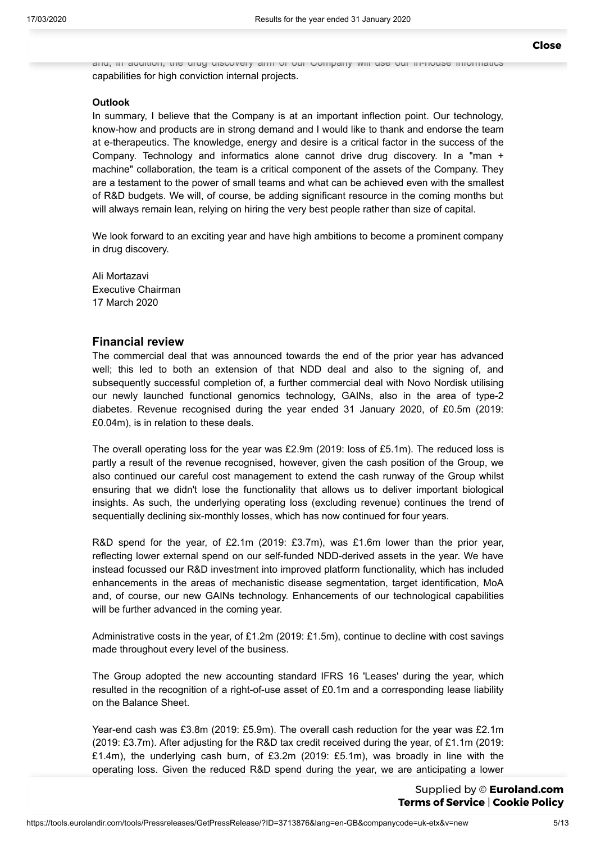and, in addition, the drug discovery arm of our Company will use our in-house informatics capabilities for high conviction internal projects.

## **Outlook**

In summary, I believe that the Company is at an important inflection point. Our technology, know-how and products are in strong demand and I would like to thank and endorse the team at e-therapeutics. The knowledge, energy and desire is a critical factor in the success of the Company. Technology and informatics alone cannot drive drug discovery. In a "man + machine" collaboration, the team is a critical component of the assets of the Company. They are a testament to the power of small teams and what can be achieved even with the smallest of R&D budgets. We will, of course, be adding significant resource in the coming months but will always remain lean, relying on hiring the very best people rather than size of capital.

We look forward to an exciting year and have high ambitions to become a prominent company in drug discovery.

Ali Mortazavi Executive Chairman 17 March 2020

# **Financial review**

The commercial deal that was announced towards the end of the prior year has advanced well; this led to both an extension of that NDD deal and also to the signing of, and subsequently successful completion of, a further commercial deal with Novo Nordisk utilising our newly launched functional genomics technology, GAINs, also in the area of type-2 diabetes. Revenue recognised during the year ended 31 January 2020, of £0.5m (2019: £0.04m), is in relation to these deals.

The overall operating loss for the year was £2.9m (2019: loss of £5.1m). The reduced loss is partly a result of the revenue recognised, however, given the cash position of the Group, we also continued our careful cost management to extend the cash runway of the Group whilst ensuring that we didn't lose the functionality that allows us to deliver important biological insights. As such, the underlying operating loss (excluding revenue) continues the trend of sequentially declining six-monthly losses, which has now continued for four years.

R&D spend for the year, of £2.1m (2019: £3.7m), was £1.6m lower than the prior year, reflecting lower external spend on our self-funded NDD-derived assets in the year. We have instead focussed our R&D investment into improved platform functionality, which has included enhancements in the areas of mechanistic disease segmentation, target identification, MoA and, of course, our new GAINs technology. Enhancements of our technological capabilities will be further advanced in the coming year.

Administrative costs in the year, of £1.2m (2019: £1.5m), continue to decline with cost savings made throughout every level of the business.

The Group adopted the new accounting standard IFRS 16 'Leases' during the year, which resulted in the recognition of a right-of-use asset of £0.1m and a corresponding lease liability on the Balance Sheet.

Year-end cash was £3.8m (2019: £5.9m). The overall cash reduction for the year was £2.1m (2019: £3.7m). After adjusting for the R&D tax credit received during the year, of £1.1m (2019: £1.4m), the underlying cash burn, of £3.2m (2019: £5.1m), was broadly in line with the operating loss. Given the reduced R&D spend during the year, we are anticipating a lower

> Supplied by © **[Euroland.com](http://www.euroland.com/) Terms of [Service](https://tools.eurolandir.com/legal/terms/?lang=en-GB)** | **[Cookie](https://tools.eurolandir.com/legal/cookie/?lang=en-GB) Policy**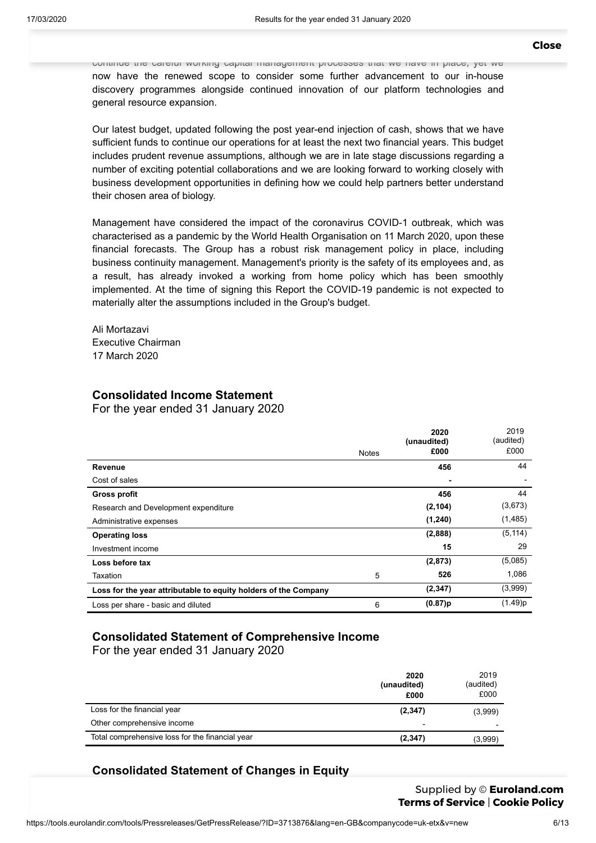continue the careful working capital management processes that we have in place, yet we now have the renewed scope to consider some further advancement to our in-house discovery programmes alongside continued innovation of our platform technologies and general resource expansion.

Our latest budget, updated following the post year-end injection of cash, shows that we have sufficient funds to continue our operations for at least the next two financial years. This budget includes prudent revenue assumptions, although we are in late stage discussions regarding a number of exciting potential collaborations and we are looking forward to working closely with business development opportunities in defining how we could help partners better understand their chosen area of biology.

Management have considered the impact of the coronavirus COVID-1 outbreak, which was characterised as a pandemic by the World Health Organisation on 11 March 2020, upon these financial forecasts. The Group has a robust risk management policy in place, including business continuity management. Management's priority is the safety of its employees and, as a result, has already invoked a working from home policy which has been smoothly implemented. At the time of signing this Report the COVID-19 pandemic is not expected to materially alter the assumptions included in the Group's budget.

Ali Mortazavi Executive Chairman 17 March 2020

# **Consolidated Income Statement**

For the year ended 31 January 2020

|                                                                 |              | 2020<br>(unaudited) | 2019<br>(audited) |
|-----------------------------------------------------------------|--------------|---------------------|-------------------|
|                                                                 | <b>Notes</b> | £000                | £000              |
| Revenue                                                         |              | 456                 | 44                |
| Cost of sales                                                   |              |                     |                   |
| <b>Gross profit</b>                                             |              | 456                 | 44                |
| Research and Development expenditure                            |              | (2, 104)            | (3,673)           |
| Administrative expenses                                         |              | (1, 240)            | (1,485)           |
| <b>Operating loss</b>                                           |              | (2,888)             | (5, 114)          |
| Investment income                                               |              | 15                  | 29                |
| Loss before tax                                                 |              | (2,873)             | (5,085)           |
| Taxation                                                        | 5            | 526                 | 1,086             |
| Loss for the year attributable to equity holders of the Company |              | (2, 347)            | (3,999)           |
| Loss per share - basic and diluted                              | 6            | (0.87)p             | (1.49)p           |

# **Consolidated Statement of Comprehensive Income**

For the year ended 31 January 2020

|                                                 | 2020<br>(unaudited)<br>£000 | 2019<br>(audited)<br>£000 |
|-------------------------------------------------|-----------------------------|---------------------------|
| Loss for the financial year                     | (2,347)                     | (3,999)                   |
| Other comprehensive income                      | $\blacksquare$              | $\overline{\phantom{0}}$  |
| Total comprehensive loss for the financial year | (2, 347)                    | (3,999)                   |

# **Consolidated Statement of Changes in Equity**

Supplied by © **[Euroland.com](http://www.euroland.com/) Terms of [Service](https://tools.eurolandir.com/legal/terms/?lang=en-GB)** | **[Cookie](https://tools.eurolandir.com/legal/cookie/?lang=en-GB) Policy**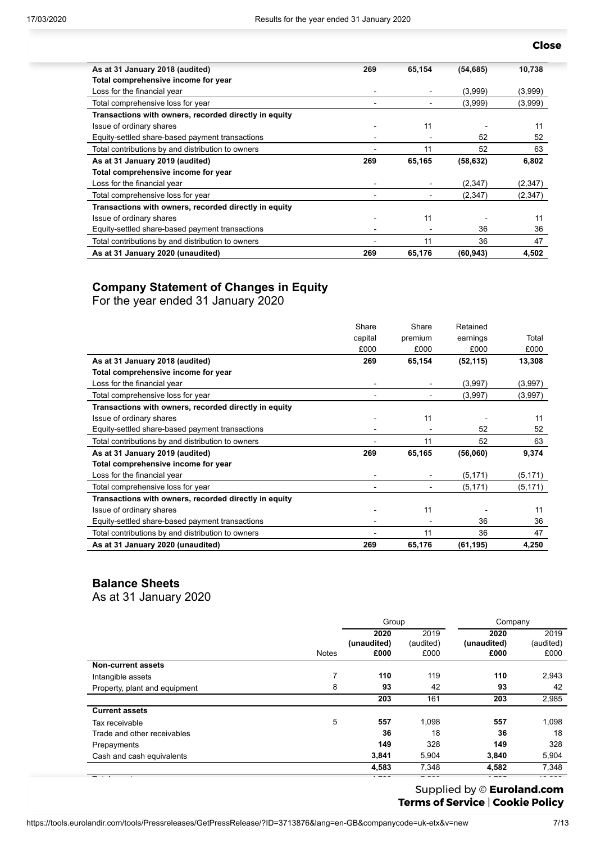#### capital premium earnings Total premium earnings Total premium earnings Total premium earnings Total premium ear **[Close](javascript:window.close();)**

| As at 31 January 2018 (audited)                       | 269                      | 65,154 | (54, 685) | 10,738  |
|-------------------------------------------------------|--------------------------|--------|-----------|---------|
| Total comprehensive income for year                   |                          |        |           |         |
| Loss for the financial year                           | -                        |        | (3,999)   | (3,999) |
| Total comprehensive loss for year                     | -                        | -      | (3,999)   | (3,999) |
| Transactions with owners, recorded directly in equity |                          |        |           |         |
| Issue of ordinary shares                              | $\overline{\phantom{0}}$ | 11     |           | 11      |
| Equity-settled share-based payment transactions       |                          |        | 52        | 52      |
| Total contributions by and distribution to owners     |                          | 11     | 52        | 63      |
| As at 31 January 2019 (audited)                       | 269                      | 65,165 | (58, 632) | 6,802   |
| Total comprehensive income for year                   |                          |        |           |         |
| Loss for the financial year                           | ۰.                       |        | (2,347)   | (2,347) |
| Total comprehensive loss for year                     | -                        |        | (2,347)   | (2,347) |
| Transactions with owners, recorded directly in equity |                          |        |           |         |
| Issue of ordinary shares                              |                          | 11     |           | 11      |
| Equity-settled share-based payment transactions       |                          |        | 36        | 36      |
| Total contributions by and distribution to owners     |                          | 11     | 36        | 47      |
| As at 31 January 2020 (unaudited)                     | 269                      | 65,176 | (60, 943) | 4,502   |

# **Company Statement of Changes in Equity**

For the year ended 31 January 2020

|                                                       | Share                    | Share   | Retained  |          |
|-------------------------------------------------------|--------------------------|---------|-----------|----------|
|                                                       | capital                  | premium | earnings  | Total    |
|                                                       | £000                     | £000    | £000      | £000     |
| As at 31 January 2018 (audited)                       | 269                      | 65,154  | (52, 115) | 13,308   |
| Total comprehensive income for year                   |                          |         |           |          |
| Loss for the financial year                           | $\overline{\phantom{0}}$ |         | (3,997)   | (3,997)  |
| Total comprehensive loss for year                     |                          |         | (3,997)   | (3,997)  |
| Transactions with owners, recorded directly in equity |                          |         |           |          |
| Issue of ordinary shares                              | $\overline{\phantom{0}}$ | 11      |           | 11       |
| Equity-settled share-based payment transactions       |                          |         | 52        | 52       |
| Total contributions by and distribution to owners     |                          | 11      | 52        | 63       |
| As at 31 January 2019 (audited)                       | 269                      | 65,165  | (56,060)  | 9,374    |
| Total comprehensive income for year                   |                          |         |           |          |
| Loss for the financial year                           | $\overline{\phantom{0}}$ |         | (5, 171)  | (5, 171) |
| Total comprehensive loss for year                     | $\overline{a}$           |         | (5, 171)  | (5, 171) |
| Transactions with owners, recorded directly in equity |                          |         |           |          |
| Issue of ordinary shares                              | ٠                        | 11      |           | 11       |
| Equity-settled share-based payment transactions       |                          |         | 36        | 36       |
| Total contributions by and distribution to owners     |                          | 11      | 36        | 47       |
| As at 31 January 2020 (unaudited)                     | 269                      | 65,176  | (61, 195) | 4,250    |

# **Balance Sheets**

As at 31 January 2020

|                               |              | Group                       |                           | Company                     |                           |
|-------------------------------|--------------|-----------------------------|---------------------------|-----------------------------|---------------------------|
|                               | <b>Notes</b> | 2020<br>(unaudited)<br>£000 | 2019<br>(audited)<br>£000 | 2020<br>(unaudited)<br>£000 | 2019<br>(audited)<br>£000 |
| <b>Non-current assets</b>     |              |                             |                           |                             |                           |
| Intangible assets             | 7            | 110                         | 119                       | 110                         | 2,943                     |
| Property, plant and equipment | 8            | 93                          | 42                        | 93                          | 42                        |
|                               |              | 203                         | 161                       | 203                         | 2,985                     |
| <b>Current assets</b>         |              |                             |                           |                             |                           |
| Tax receivable                | 5            | 557                         | 1,098                     | 557                         | 1,098                     |
| Trade and other receivables   |              | 36                          | 18                        | 36                          | 18                        |
| Prepayments                   |              | 149                         | 328                       | 149                         | 328                       |
| Cash and cash equivalents     |              | 3,841                       | 5,904                     | 3,840                       | 5,904                     |
|                               |              | 4,583                       | 7,348                     | 4,582                       | 7,348                     |

**Total assets 4,786** 7,509 **4,785** 10,333

# Trade and other payables **215** 501 **466** 753 **Terms of [Service](https://tools.eurolandir.com/legal/terms/?lang=en-GB)** | **[Cookie](https://tools.eurolandir.com/legal/cookie/?lang=en-GB) Policy**Supplied by © **[Euroland.com](http://www.euroland.com/)**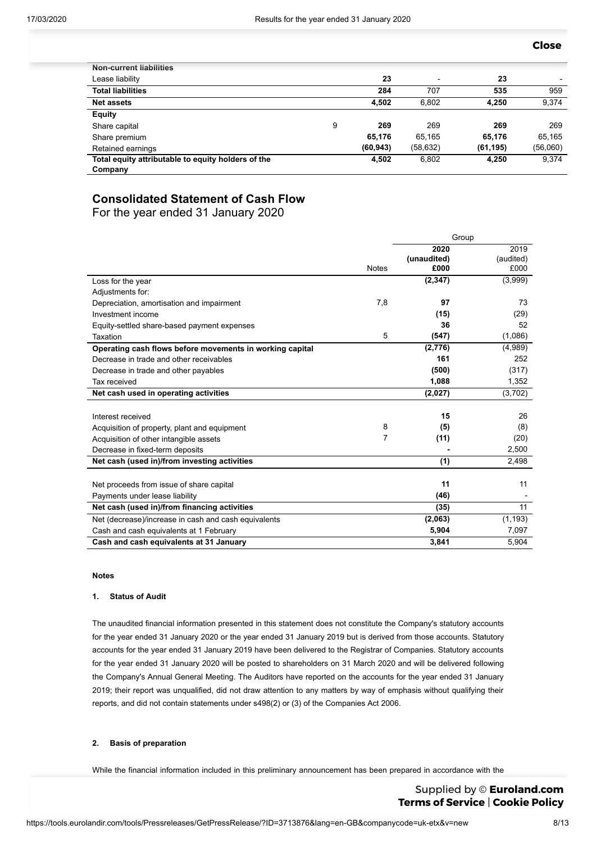Contract [liabil](https://v1.addthis.com/live/redirect/?url=mailto%3A%3Fbody%3Dhttps%253A%252F%252Ftools.eurolandir.com%252Ftools%252FPressreleases%252FGetPressRelease%252F%253FID%253D3713876%2526lang%253Den-GB%2526companycode%253Duk-etx%2526v%253Dnew%2523.XnC36pe2iOY.mailto%26subject%3DResults%2520for%2520the%2520year%2520ended%252031%2520January%25202020&uid=5dc16967bdd49b1e&pub=xa-516427d27813591e&rev=v8.28.3-wp&per=undefined&pco=tbx-300)ity **-** 206 **-** 206 **[Close](javascript:window.close();)**

| <b>Non-current liabilities</b>                     |   |           |                          |           |                          |
|----------------------------------------------------|---|-----------|--------------------------|-----------|--------------------------|
| Lease liability                                    |   | 23        | $\overline{\phantom{0}}$ | 23        | $\overline{\phantom{a}}$ |
| <b>Total liabilities</b>                           |   | 284       | 707                      | 535       | 959                      |
| <b>Net assets</b>                                  |   | 4.502     | 6.802                    | 4.250     | 9,374                    |
| <b>Equity</b>                                      |   |           |                          |           |                          |
| Share capital                                      | 9 | 269       | 269                      | 269       | 269                      |
| Share premium                                      |   | 65,176    | 65.165                   | 65,176    | 65,165                   |
| Retained earnings                                  |   | (60, 943) | (58, 632)                | (61, 195) | (56,060)                 |
| Total equity attributable to equity holders of the |   | 4,502     | 6,802                    | 4,250     | 9,374                    |
| Company                                            |   |           |                          |           |                          |

# **Consolidated Statement of Cash Flow**

For the year ended 31 January 2020

|                                                          |              | Group       |           |  |
|----------------------------------------------------------|--------------|-------------|-----------|--|
|                                                          |              | 2020        | 2019      |  |
|                                                          |              | (unaudited) | (audited) |  |
|                                                          | <b>Notes</b> | £000        | £000      |  |
| Loss for the year                                        |              | (2, 347)    | (3,999)   |  |
| Adjustments for:                                         |              |             |           |  |
| Depreciation, amortisation and impairment                | 7,8          | 97          | 73        |  |
| Investment income                                        |              | (15)        | (29)      |  |
| Equity-settled share-based payment expenses              |              | 36          | 52        |  |
| Taxation                                                 | 5            | (547)       | (1,086)   |  |
| Operating cash flows before movements in working capital |              | (2,776)     | (4,989)   |  |
| Decrease in trade and other receivables                  |              | 161         | 252       |  |
| Decrease in trade and other payables                     |              | (500)       | (317)     |  |
| Tax received                                             |              | 1,088       | 1,352     |  |
| Net cash used in operating activities                    |              | (2,027)     | (3,702)   |  |
|                                                          |              |             |           |  |
| Interest received                                        |              | 15          | 26        |  |
| Acquisition of property, plant and equipment             | 8            | (5)         | (8)       |  |
| Acquisition of other intangible assets                   | 7            | (11)        | (20)      |  |
| Decrease in fixed-term deposits                          |              |             | 2,500     |  |
| Net cash (used in)/from investing activities             |              | (1)         | 2,498     |  |
|                                                          |              |             |           |  |
| Net proceeds from issue of share capital                 |              | 11          | 11        |  |
| Payments under lease liability                           |              | (46)        |           |  |
| Net cash (used in)/from financing activities             |              | (35)        | 11        |  |
| Net (decrease)/increase in cash and cash equivalents     |              | (2,063)     | (1, 193)  |  |
| Cash and cash equivalents at 1 February                  |              | 5,904       | 7,097     |  |
| Cash and cash equivalents at 31 January                  |              | 3,841       | 5,904     |  |

#### **Notes**

## **1. Status of Audit**

The unaudited financial information presented in this statement does not constitute the Company's statutory accounts for the year ended 31 January 2020 or the year ended 31 January 2019 but is derived from those accounts. Statutory accounts for the year ended 31 January 2019 have been delivered to the Registrar of Companies. Statutory accounts for the year ended 31 January 2020 will be posted to shareholders on 31 March 2020 and will be delivered following the Company's Annual General Meeting. The Auditors have reported on the accounts for the year ended 31 January 2019; their report was unqualified, did not draw attention to any matters by way of emphasis without qualifying their reports, and did not contain statements under s498(2) or (3) of the Companies Act 2006.

### **2. Basis of preparation**

While the financial information included in this preliminary announcement has been prepared in accordance with the

**recognition and measurement criteria of International Reporting Supplied by © <b>[Euroland.com](http://www.euroland.com/)** Union (EU) ("IFRS"), this announcement does not in itself contain sufficient information to comply with IFRS. This **Terms of [Service](https://tools.eurolandir.com/legal/terms/?lang=en-GB)** | **[Cookie](https://tools.eurolandir.com/legal/cookie/?lang=en-GB) Policy**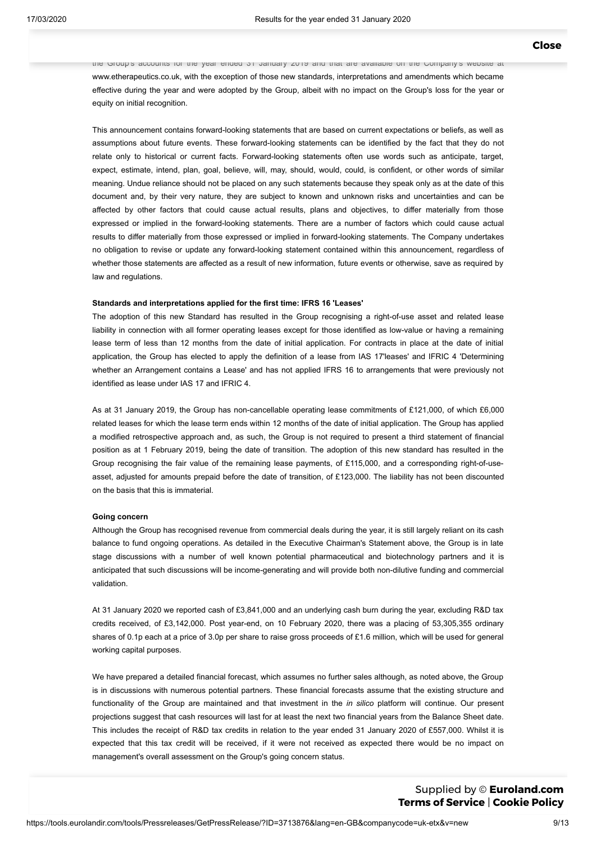the Group's accounts for the year ended 31 January 2019 and that are available on the Company's website at www.etherapeutics.co.uk, with the exception of those new standards, interpretations and amendments which became effective during the year and were adopted by the Group, albeit with no impact on the Group's loss for the year or equity on initial recognition.

This announcement contains forward-looking statements that are based on current expectations or beliefs, as well as assumptions about future events. These forward-looking statements can be identified by the fact that they do not relate only to historical or current facts. Forward-looking statements often use words such as anticipate, target, expect, estimate, intend, plan, goal, believe, will, may, should, would, could, is confident, or other words of similar meaning. Undue reliance should not be placed on any such statements because they speak only as at the date of this document and, by their very nature, they are subject to known and unknown risks and uncertainties and can be affected by other factors that could cause actual results, plans and objectives, to differ materially from those expressed or implied in the forward-looking statements. There are a number of factors which could cause actual results to differ materially from those expressed or implied in forward-looking statements. The Company undertakes no obligation to revise or update any forward-looking statement contained within this announcement, regardless of whether those statements are affected as a result of new information, future events or otherwise, save as required by law and regulations.

### **Standards and interpretations applied for the first time: IFRS 16 'Leases'**

The adoption of this new Standard has resulted in the Group recognising a right-of-use asset and related lease liability in connection with all former operating leases except for those identified as low-value or having a remaining lease term of less than 12 months from the date of initial application. For contracts in place at the date of initial application, the Group has elected to apply the definition of a lease from IAS 17'leases' and IFRIC 4 'Determining whether an Arrangement contains a Lease' and has not applied IFRS 16 to arrangements that were previously not identified as lease under IAS 17 and IFRIC 4.

As at 31 January 2019, the Group has non-cancellable operating lease commitments of £121,000, of which £6,000 related leases for which the lease term ends within 12 months of the date of initial application. The Group has applied a modified retrospective approach and, as such, the Group is not required to present a third statement of financial position as at 1 February 2019, being the date of transition. The adoption of this new standard has resulted in the Group recognising the fair value of the remaining lease payments, of £115,000, and a corresponding right-of-useasset, adjusted for amounts prepaid before the date of transition, of £123,000. The liability has not been discounted on the basis that this is immaterial.

#### **Going concern**

Although the Group has recognised revenue from commercial deals during the year, it is still largely reliant on its cash balance to fund ongoing operations. As detailed in the Executive Chairman's Statement above, the Group is in late stage discussions with a number of well known potential pharmaceutical and biotechnology partners and it is anticipated that such discussions will be income-generating and will provide both non-dilutive funding and commercial validation.

At 31 January 2020 we reported cash of £3,841,000 and an underlying cash burn during the year, excluding R&D tax credits received, of £3,142,000. Post year-end, on 10 February 2020, there was a placing of 53,305,355 ordinary shares of 0.1p each at a price of 3.0p per share to raise gross proceeds of £1.6 million, which will be used for general working capital purposes.

We have prepared a detailed financial forecast, which assumes no further sales although, as noted above, the Group is in discussions with numerous potential partners. These financial forecasts assume that the existing structure and functionality of the Group are maintained and that investment in the *in silico* platform will continue. Our present projections suggest that cash resources will last for at least the next two financial years from the Balance Sheet date. This includes the receipt of R&D tax credits in relation to the year ended 31 January 2020 of £557,000. Whilst it is expected that this tax credit will be received, if it were not received as expected there would be no impact on management's overall assessment on the Group's going concern status.

 $\sigma$  in more discussed in more detailed in more detailed in more detailed in  $\sigma$ Supplied by © **[Euroland.com](http://www.euroland.com/) Terms of [Service](https://tools.eurolandir.com/legal/terms/?lang=en-GB)** | **[Cookie](https://tools.eurolandir.com/legal/cookie/?lang=en-GB) Policy**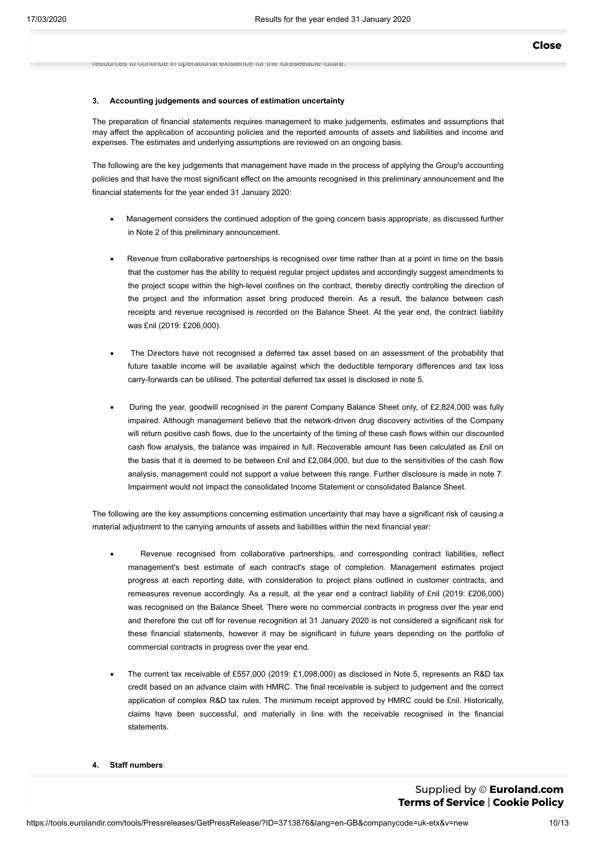resources to continue in operational existence for the foreseeable future.

#### **3. Accounting judgements and sources of estimation uncertainty**

The preparation of financial statements requires management to make judgements, estimates and assumptions that may affect the application of accounting policies and the reported amounts of assets and liabilities and income and expenses. The estimates and underlying assumptions are reviewed on an ongoing basis.

The following are the key judgements that management have made in the process of applying the Group's accounting policies and that have the most significant effect on the amounts recognised in this preliminary announcement and the financial statements for the year ended 31 January 2020:

- · Management considers the continued adoption of the going concern basis appropriate, as discussed further in Note 2 of this preliminary announcement.
- Revenue from collaborative partnerships is recognised over time rather than at a point in time on the basis that the customer has the ability to request regular project updates and accordingly suggest amendments to the project scope within the high-level confines on the contract, thereby directly controlling the direction of the project and the information asset bring produced therein. As a result, the balance between cash receipts and revenue recognised is recorded on the Balance Sheet. At the year end, the contract liability was £nil (2019: £206,000).
- The Directors have not recognised a deferred tax asset based on an assessment of the probability that future taxable income will be available against which the deductible temporary differences and tax loss carry-forwards can be utilised. The potential deferred tax asset is disclosed in note 5.
- · During the year, goodwill recognised in the parent Company Balance Sheet only, of £2,824,000 was fully impaired. Although management believe that the network-driven drug discovery activities of the Company will return positive cash flows, due to the uncertainty of the timing of these cash flows within our discounted cash flow analysis, the balance was impaired in full. Recoverable amount has been calculated as £nil on the basis that it is deemed to be between £nil and £2,084,000, but due to the sensitivities of the cash flow analysis, management could not support a value between this range. Further disclosure is made in note 7. Impairment would not impact the consolidated Income Statement or consolidated Balance Sheet.

The following are the key assumptions concerning estimation uncertainty that may have a significant risk of causing a material adjustment to the carrying amounts of assets and liabilities within the next financial year:

- Revenue recognised from collaborative partnerships, and corresponding contract liabilities, reflect management's best estimate of each contract's stage of completion. Management estimates project progress at each reporting date, with consideration to project plans outlined in customer contracts, and remeasures revenue accordingly. As a result, at the year end a contract liability of £nil (2019: £206,000) was recognised on the Balance Sheet. There were no commercial contracts in progress over the year end and therefore the cut off for revenue recognition at 31 January 2020 is not considered a significant risk for these financial statements, however it may be significant in future years depending on the portfolio of commercial contracts in progress over the year end.
- The current tax receivable of £557,000 (2019: £1,098,000) as disclosed in Note 5, represents an R&D tax credit based on an advance claim with HMRC. The final receivable is subject to judgement and the correct application of complex R&D tax rules. The minimum receipt approved by HMRC could be £nil. Historically, claims have been successful, and materially in line with the receivable recognised in the financial statements.
- **4. Staff numbers**

#### The average number of persons employed by  $\circledcirc$  **[Euroland.com](http://www.euroland.com/)** excluding Non-Executive Directors) during the year, analysed by category, was as follows: **Terms of [Service](https://tools.eurolandir.com/legal/terms/?lang=en-GB)** | **[Cookie](https://tools.eurolandir.com/legal/cookie/?lang=en-GB) Policy**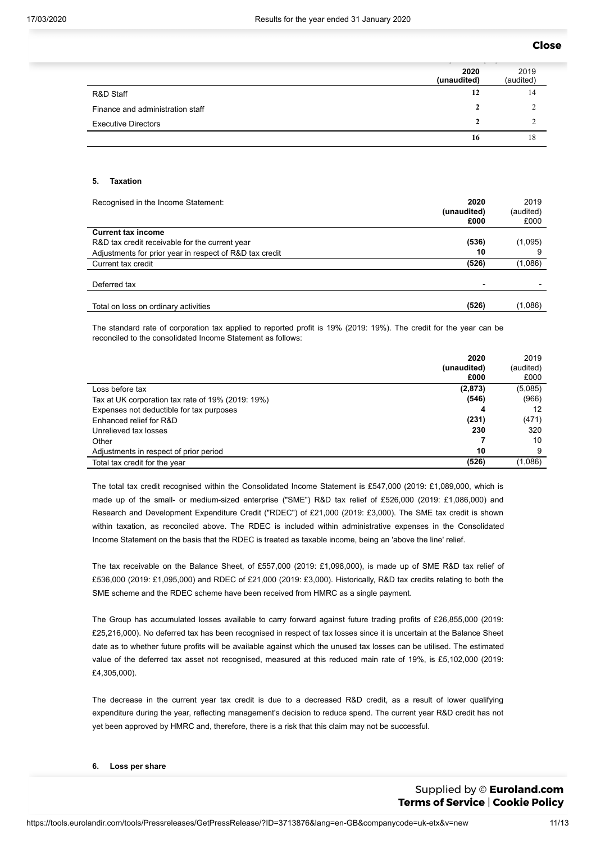## **[Close](javascript:window.close();)**

|                                  | 2020<br>(unaudited) | 2019<br>(audited) |
|----------------------------------|---------------------|-------------------|
| R&D Staff                        | 12                  | 14                |
| Finance and administration staff |                     |                   |
| <b>Executive Directors</b>       |                     |                   |
|                                  | 16                  | 18                |

## **5. Taxation**

| Recognised in the Income Statement:                     | 2020<br>(unaudited)<br>£000 | 2019<br>(audited)<br>£000 |
|---------------------------------------------------------|-----------------------------|---------------------------|
| <b>Current tax income</b>                               |                             |                           |
| R&D tax credit receivable for the current year          | (536)                       | (1,095)                   |
| Adjustments for prior year in respect of R&D tax credit | 10                          |                           |
| Current tax credit                                      | (526)                       | (1,086)                   |
|                                                         |                             |                           |
| Deferred tax                                            |                             |                           |
|                                                         |                             |                           |
| Total on loss on ordinary activities                    | (526)                       | (1,086)                   |

The standard rate of corporation tax applied to reported profit is 19% (2019: 19%). The credit for the year can be reconciled to the consolidated Income Statement as follows:

|                                                   | 2020        | 2019      |
|---------------------------------------------------|-------------|-----------|
|                                                   | (unaudited) | (audited) |
|                                                   | £000        | £000      |
| Loss before tax                                   | (2,873)     | (5,085)   |
| Tax at UK corporation tax rate of 19% (2019: 19%) | (546)       | (966)     |
| Expenses not deductible for tax purposes          | 4           | 12        |
| Enhanced relief for R&D                           | (231)       | (471)     |
| Unrelieved tax losses                             | 230         | 320       |
| Other                                             |             | 10        |
| Adjustments in respect of prior period            | 10          | 9         |
| Total tax credit for the year                     | (526)       | (1,086)   |

The total tax credit recognised within the Consolidated Income Statement is £547,000 (2019: £1,089,000, which is made up of the small- or medium-sized enterprise ("SME") R&D tax relief of £526,000 (2019: £1,086,000) and Research and Development Expenditure Credit ("RDEC") of £21,000 (2019: £3,000). The SME tax credit is shown within taxation, as reconciled above. The RDEC is included within administrative expenses in the Consolidated Income Statement on the basis that the RDEC is treated as taxable income, being an 'above the line' relief.

The tax receivable on the Balance Sheet, of £557,000 (2019: £1,098,000), is made up of SME R&D tax relief of £536,000 (2019: £1,095,000) and RDEC of £21,000 (2019: £3,000). Historically, R&D tax credits relating to both the SME scheme and the RDEC scheme have been received from HMRC as a single payment.

The Group has accumulated losses available to carry forward against future trading profits of £26,855,000 (2019: £25,216,000). No deferred tax has been recognised in respect of tax losses since it is uncertain at the Balance Sheet date as to whether future profits will be available against which the unused tax losses can be utilised. The estimated value of the deferred tax asset not recognised, measured at this reduced main rate of 19%, is £5,102,000 (2019: £4,305,000).

The decrease in the current year tax credit is due to a decreased R&D credit, as a result of lower qualifying expenditure during the year, reflecting management's decision to reduce spend. The current year R&D credit has not yet been approved by HMRC and, therefore, there is a risk that this claim may not be successful.

#### ms e l $\mathbf c$ (audited) **Terms of [Service](https://tools.eurolandir.com/legal/terms/?lang=en-GB)** | **[Cookie](https://tools.eurolandir.com/legal/cookie/?lang=en-GB) Policy**Supplied by © **[Euroland.com](http://www.euroland.com/)**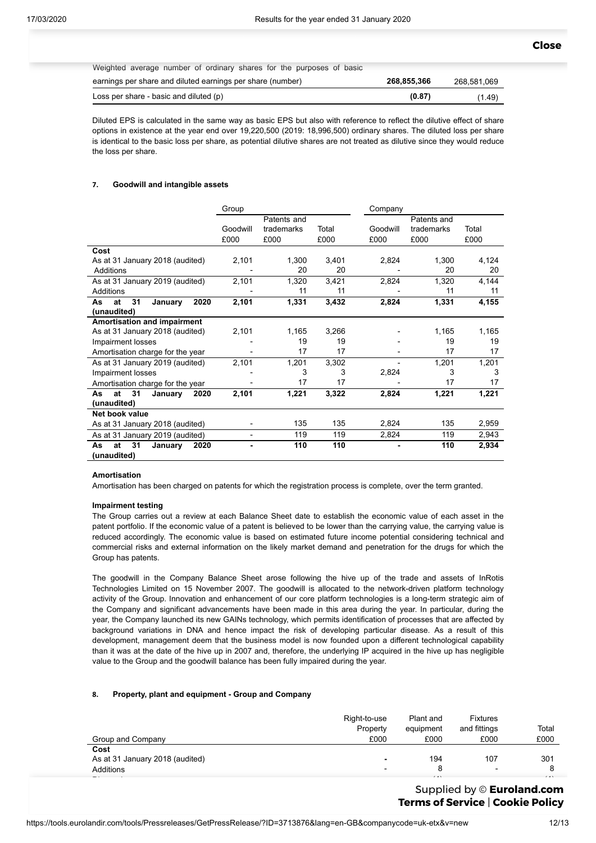Weighted average number of ordinary shares for the purposes of basic

| earnings per share and diluted earnings per share (number) | 268,855,366 | 268.581.069 |
|------------------------------------------------------------|-------------|-------------|
| Loss per share - basic and diluted (p)                     | (0.87)      | (1.49)      |

Diluted EPS is calculated in the same way as basic EPS but also with reference to reflect the dilutive effect of share options in existence at the year end over 19,220,500 (2019: 18,996,500) ordinary shares. The diluted loss per share is identical to the basic loss per share, as potential dilutive shares are not treated as dilutive since they would reduce the loss per share.

#### **7. Goodwill and intangible assets**

|                                    | Group    |             |       | Company  |             |       |
|------------------------------------|----------|-------------|-------|----------|-------------|-------|
|                                    |          | Patents and |       |          | Patents and |       |
|                                    | Goodwill | trademarks  | Total | Goodwill | trademarks  | Total |
|                                    | £000     | £000        | £000  | £000     | £000        | £000  |
| Cost                               |          |             |       |          |             |       |
| As at 31 January 2018 (audited)    | 2,101    | 1,300       | 3,401 | 2,824    | 1,300       | 4,124 |
| Additions                          |          | 20          | 20    |          | 20          | 20    |
| As at 31 January 2019 (audited)    | 2,101    | 1,320       | 3,421 | 2,824    | 1,320       | 4,144 |
| Additions                          |          | 11          | 11    |          | 11          | 11    |
| 2020<br>31<br>at<br>As<br>January  | 2,101    | 1,331       | 3,432 | 2,824    | 1,331       | 4,155 |
| (unaudited)                        |          |             |       |          |             |       |
| <b>Amortisation and impairment</b> |          |             |       |          |             |       |
| As at 31 January 2018 (audited)    | 2,101    | 1,165       | 3,266 |          | 1,165       | 1,165 |
| Impairment losses                  |          | 19          | 19    |          | 19          | 19    |
| Amortisation charge for the year   |          | 17          | 17    |          | 17          | 17    |
| As at 31 January 2019 (audited)    | 2,101    | 1,201       | 3,302 |          | 1,201       | 1,201 |
| Impairment losses                  |          | 3           | 3     | 2,824    | 3           | 3     |
| Amortisation charge for the year   |          | 17          | 17    |          | 17          | 17    |
| 31<br>at<br>January<br>2020<br>As  | 2,101    | 1,221       | 3,322 | 2,824    | 1,221       | 1,221 |
| (unaudited)                        |          |             |       |          |             |       |
| Net book value                     |          |             |       |          |             |       |
| As at 31 January 2018 (audited)    |          | 135         | 135   | 2,824    | 135         | 2,959 |
| As at 31 January 2019 (audited)    |          | 119         | 119   | 2,824    | 119         | 2,943 |
| at<br>31<br>2020<br>As<br>January  |          | 110         | 110   |          | 110         | 2,934 |
| (unaudited)                        |          |             |       |          |             |       |

### **Amortisation**

Amortisation has been charged on patents for which the registration process is complete, over the term granted.

#### **Impairment testing**

The Group carries out a review at each Balance Sheet date to establish the economic value of each asset in the patent portfolio. If the economic value of a patent is believed to be lower than the carrying value, the carrying value is reduced accordingly. The economic value is based on estimated future income potential considering technical and commercial risks and external information on the likely market demand and penetration for the drugs for which the Group has patents.

The goodwill in the Company Balance Sheet arose following the hive up of the trade and assets of InRotis Technologies Limited on 15 November 2007. The goodwill is allocated to the network-driven platform technology activity of the Group. Innovation and enhancement of our core platform technologies is a long-term strategic aim of the Company and significant advancements have been made in this area during the year. In particular, during the year, the Company launched its new GAINs technology, which permits identification of processes that are affected by background variations in DNA and hence impact the risk of developing particular disease. As a result of this development, management deem that the business model is now founded upon a different technological capability than it was at the date of the hive up in 2007 and, therefore, the underlying IP acquired in the hive up has negligible value to the Group and the goodwill balance has been fully impaired during the year.

## **8. Property, plant and equipment - Group and Company**

|                                 | Right-to-use<br>Property | Plant and<br>equipment | <b>Fixtures</b><br>and fittings | Total        |
|---------------------------------|--------------------------|------------------------|---------------------------------|--------------|
| Group and Company               | £000                     | £000                   | £000                            | £000         |
| Cost                            |                          |                        |                                 |              |
| As at 31 January 2018 (audited) |                          | 194                    | 107                             | 301          |
| Additions                       |                          | 8                      | $\blacksquare$                  |              |
|                                 |                          | $\sqrt{4}$             |                                 | $\mathbf{1}$ |

### $\blacksquare$  Supplied by  $\heartsuit$  **[Euroland.com](http://www.euroland.com/)**  $\frac{1}{2}$   $\frac{1}{2}$   $\frac{1}{2}$   $\frac{1}{2}$   $\frac{1}{2}$   $\frac{1}{2}$   $\frac{1}{2}$   $\frac{1}{2}$   $\frac{1}{2}$   $\frac{1}{2}$   $\frac{1}{2}$   $\frac{1}{2}$   $\frac{1}{2}$   $\frac{1}{2}$   $\frac{1}{2}$   $\frac{1}{2}$   $\frac{1}{2}$   $\frac{1}{2}$   $\frac{1}{2}$   $\frac{1}{2}$   $\frac{1}{2}$   $\frac{1}{2}$   $\$ - 5 - 5 **Terms of [Service](https://tools.eurolandir.com/legal/terms/?lang=en-GB)** | **[Cookie](https://tools.eurolandir.com/legal/cookie/?lang=en-GB) Policy**